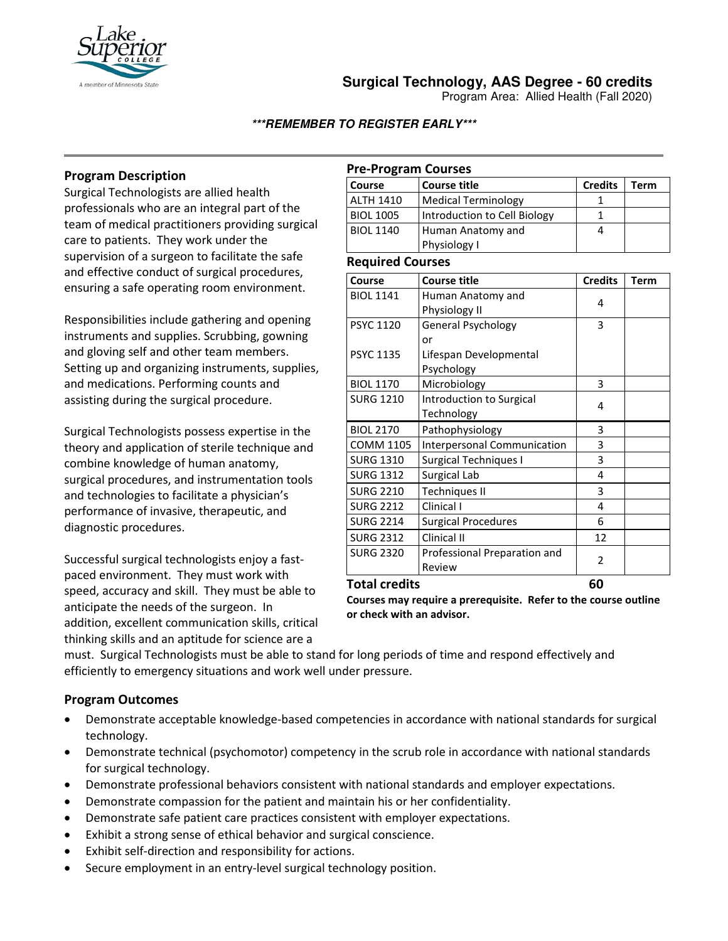

# **Surgical Technology, AAS Degree - 60 credits**

Program Area: Allied Health (Fall 2020)

## **\*\*\*REMEMBER TO REGISTER EARLY\*\*\***

# **Program Description**

Surgical Technologists are allied health professionals who are an integral part of the team of medical practitioners providing surgical care to patients. They work under the supervision of a surgeon to facilitate the safe and effective conduct of surgical procedures, ensuring a safe operating room environment.

Responsibilities include gathering and opening instruments and supplies. Scrubbing, gowning and gloving self and other team members. Setting up and organizing instruments, supplies, and medications. Performing counts and assisting during the surgical procedure.

Surgical Technologists possess expertise in the theory and application of sterile technique and combine knowledge of human anatomy, surgical procedures, and instrumentation tools and technologies to facilitate a physician's performance of invasive, therapeutic, and diagnostic procedures.

Successful surgical technologists enjoy a fastpaced environment. They must work with speed, accuracy and skill. They must be able to anticipate the needs of the surgeon. In addition, excellent communication skills, critical thinking skills and an aptitude for science are a

## **Pre-Program Courses**

| Course           | Course title                 | <b>Credits</b> | Term |
|------------------|------------------------------|----------------|------|
| <b>ALTH 1410</b> | Medical Terminology          |                |      |
| <b>BIOL 1005</b> | Introduction to Cell Biology |                |      |
| <b>BIOL 1140</b> | Human Anatomy and            |                |      |
|                  | Physiology I                 |                |      |

### **Required Courses**

| Course           | <b>Course title</b>                | <b>Credits</b> | Term |
|------------------|------------------------------------|----------------|------|
| <b>BIOL 1141</b> | Human Anatomy and                  | 4              |      |
|                  | Physiology II                      |                |      |
| <b>PSYC 1120</b> | General Psychology                 | 3              |      |
|                  | or                                 |                |      |
| <b>PSYC 1135</b> | Lifespan Developmental             |                |      |
|                  | Psychology                         |                |      |
| <b>BIOL 1170</b> | Microbiology                       | 3              |      |
| <b>SURG 1210</b> | Introduction to Surgical           | 4              |      |
|                  | Technology                         |                |      |
| <b>BIOL 2170</b> | Pathophysiology                    | 3              |      |
| <b>COMM 1105</b> | <b>Interpersonal Communication</b> | 3              |      |
| <b>SURG 1310</b> | Surgical Techniques I              | 3              |      |
| <b>SURG 1312</b> | Surgical Lab                       | 4              |      |
| <b>SURG 2210</b> | <b>Techniques II</b>               | 3              |      |
| <b>SURG 2212</b> | Clinical I                         | 4              |      |
| <b>SURG 2214</b> | <b>Surgical Procedures</b>         | 6              |      |
| <b>SURG 2312</b> | Clinical II                        | 12             |      |
| <b>SURG 2320</b> | Professional Preparation and       | 2              |      |
|                  | Review                             |                |      |
| Total credits    |                                    | 60             |      |

**Courses may require a prerequisite. Refer to the course outline or check with an advisor.** 

must. Surgical Technologists must be able to stand for long periods of time and respond effectively and efficiently to emergency situations and work well under pressure.

# **Program Outcomes**

- Demonstrate acceptable knowledge-based competencies in accordance with national standards for surgical technology.
- Demonstrate technical (psychomotor) competency in the scrub role in accordance with national standards for surgical technology.
- Demonstrate professional behaviors consistent with national standards and employer expectations.
- Demonstrate compassion for the patient and maintain his or her confidentiality.
- Demonstrate safe patient care practices consistent with employer expectations.
- Exhibit a strong sense of ethical behavior and surgical conscience.
- Exhibit self-direction and responsibility for actions.
- Secure employment in an entry-level surgical technology position.